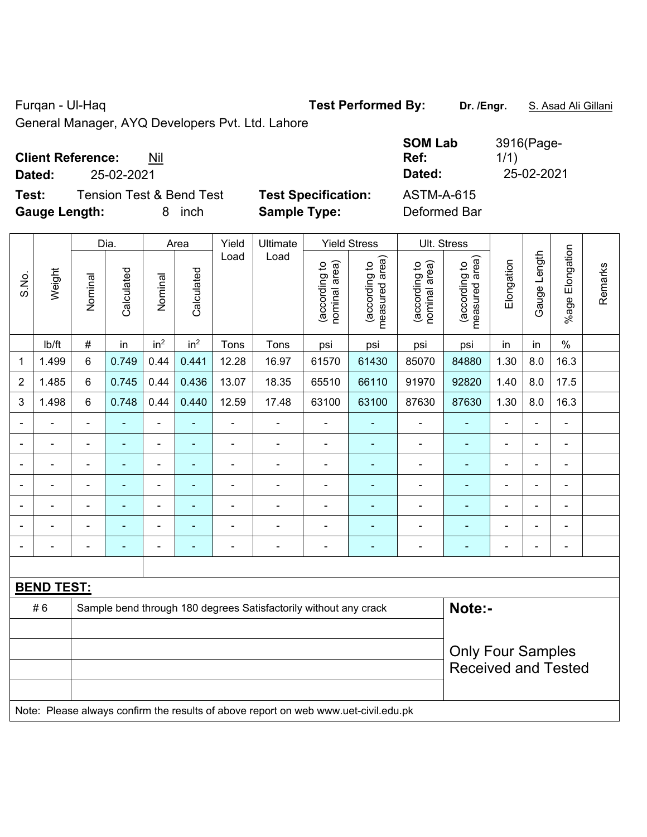Furqan - Ul-Haq **Test Performed By: Dr. /Engr.** S. Asad Ali Gillani

General Manager, AYQ Developers Pvt. Ltd. Lahore

# **Client Reference:** Nil

Test: Tension Test & Bend Test Test Specification: A **Gauge Length:** 8 inch **Sample Type:** Deformed Bar

Dia. | Area | Yield | Ultimate | Yield Stress | Ult. Stress

|        | <b>Client Reference:</b><br>Nil     |                            | <b>SOM Lab</b><br>Ref: | 3916(Page-<br>1/1) |
|--------|-------------------------------------|----------------------------|------------------------|--------------------|
| Dated: | 25-02-2021                          |                            | Dated:                 | 25-02-2021         |
| Test:  | <b>Tension Test &amp; Bend Test</b> | <b>Test Specification:</b> | ASTM-A-615             |                    |

|                |                   |                | Dia.           |                 | Area            | Yield          | Ultimate                                                                            |                                | Yield Stress                    |                                | UII. Stress                        |                |                          |                 |         |
|----------------|-------------------|----------------|----------------|-----------------|-----------------|----------------|-------------------------------------------------------------------------------------|--------------------------------|---------------------------------|--------------------------------|------------------------------------|----------------|--------------------------|-----------------|---------|
| S.No.          | Weight            | Nominal        | Calculated     | Nominal         | Calculated      | Load           | Load                                                                                | nominal area)<br>(according to | measured area)<br>(according to | (according to<br>nominal area) | area)<br>(according to<br>measured | Elongation     | Gauge Length             | %age Elongation | Remarks |
|                | Ib/ft             | $\#$           | in             | in <sup>2</sup> | in <sup>2</sup> | Tons           | Tons                                                                                | psi                            | psi                             | psi                            | psi                                | in             | in                       | $\%$            |         |
| 1              | 1.499             | $\,6\,$        | 0.749          | 0.44            | 0.441           | 12.28          | 16.97                                                                               | 61570                          | 61430                           | 85070                          | 84880                              | 1.30           | 8.0                      | 16.3            |         |
| $\overline{2}$ | 1.485             | 6              | 0.745          | 0.44            | 0.436           | 13.07          | 18.35                                                                               | 65510                          | 66110                           | 91970                          | 92820                              | 1.40           | 8.0                      | 17.5            |         |
| 3              | 1.498             | $\,6\,$        | 0.748          | 0.44            | 0.440           | 12.59          | 17.48                                                                               | 63100                          | 63100                           | 87630                          | 87630                              | 1.30           | 8.0                      | 16.3            |         |
|                |                   |                |                |                 |                 |                |                                                                                     |                                | ۰                               |                                |                                    |                |                          |                 |         |
|                | ÷                 |                | $\blacksquare$ | $\blacksquare$  | $\blacksquare$  | L.             | $\blacksquare$                                                                      | $\blacksquare$                 | ۰                               | $\blacksquare$                 |                                    | L,             | $\blacksquare$           |                 |         |
|                | ä,                | $\blacksquare$ | ä,             | ÷               | ٠               | ÷              | $\blacksquare$                                                                      | Ē,                             | ÷                               | $\blacksquare$                 | $\blacksquare$                     | -              | $\blacksquare$           | $\blacksquare$  |         |
|                | ÷                 | $\blacksquare$ | ۰              | ÷               | ٠               | $\blacksquare$ | $\blacksquare$                                                                      | $\blacksquare$                 | ۰                               | $\blacksquare$                 | $\blacksquare$                     | L,             | $\overline{\phantom{0}}$ | $\blacksquare$  |         |
| ÷,             | ÷.                | $\blacksquare$ | ÷              | ÷               | $\blacksquare$  | ÷              | $\blacksquare$                                                                      | $\blacksquare$                 | ٠                               | $\blacksquare$                 | $\blacksquare$                     | $\blacksquare$ | $\blacksquare$           | $\blacksquare$  |         |
|                |                   |                |                |                 |                 |                |                                                                                     | Ē,                             |                                 |                                |                                    |                |                          |                 |         |
|                |                   |                |                |                 |                 |                | $\blacksquare$                                                                      |                                | ۰                               |                                |                                    |                |                          |                 |         |
|                |                   |                |                |                 |                 |                |                                                                                     |                                |                                 |                                |                                    |                |                          |                 |         |
|                | <b>BEND TEST:</b> |                |                |                 |                 |                |                                                                                     |                                |                                 |                                |                                    |                |                          |                 |         |
|                | #6                |                |                |                 |                 |                | Sample bend through 180 degrees Satisfactorily without any crack                    |                                |                                 |                                | Note:-                             |                |                          |                 |         |
|                |                   |                |                |                 |                 |                |                                                                                     |                                |                                 |                                |                                    |                |                          |                 |         |
|                |                   |                |                |                 |                 |                |                                                                                     |                                |                                 |                                | <b>Only Four Samples</b>           |                |                          |                 |         |
|                |                   |                |                |                 |                 |                |                                                                                     |                                |                                 |                                | <b>Received and Tested</b>         |                |                          |                 |         |
|                |                   |                |                |                 |                 |                |                                                                                     |                                |                                 |                                |                                    |                |                          |                 |         |
|                |                   |                |                |                 |                 |                | Note: Please always confirm the results of above report on web www.uet-civil.edu.pk |                                |                                 |                                |                                    |                |                          |                 |         |
|                |                   |                |                |                 |                 |                |                                                                                     |                                |                                 |                                |                                    |                |                          |                 |         |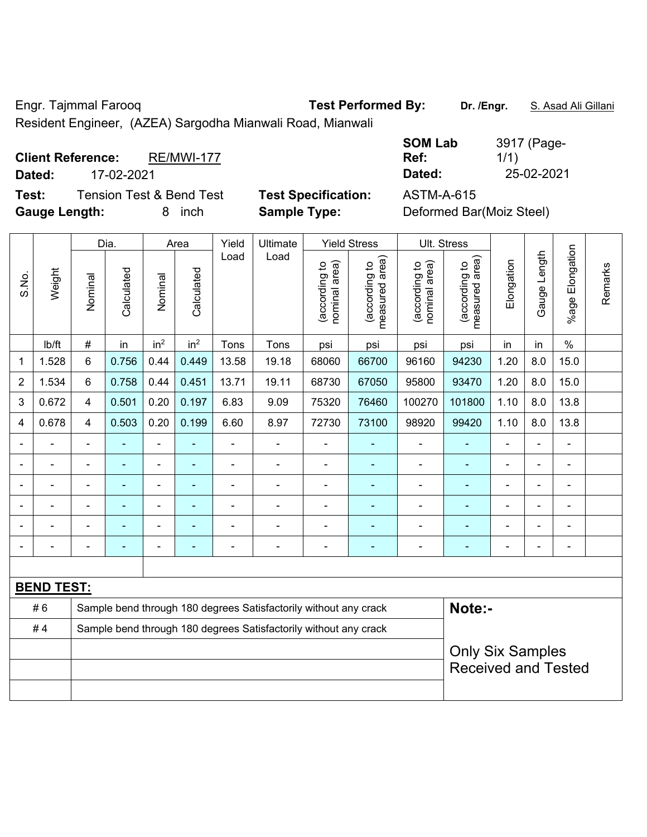Engr. Tajmmal Farooq **Test Performed By:** Dr. /Engr. **S. Asad Ali Gillani** 

Resident Engineer, (AZEA) Sargodha Mianwali Road, Mianwali

**SOM Lab Ref:**  3917 (Page-1/1)

**Client Reference:** RE/MWI-177 **Dated:** 17-02-2021 **Dated:** 25-02-2021 **Test:** Tension Test & Bend Test **Test Specification:** ASTM-A-615

**Gauge Length:** 8 inch **Sample Type:** Deformed Bar(Moiz Steel)

|                |                                                                        |                         | Dia.           |                          | Area                     | Yield          | Ultimate                                                         |                                | <b>Yield Stress</b>             |                                | Ult. Stress                     |                |                |                           |         |
|----------------|------------------------------------------------------------------------|-------------------------|----------------|--------------------------|--------------------------|----------------|------------------------------------------------------------------|--------------------------------|---------------------------------|--------------------------------|---------------------------------|----------------|----------------|---------------------------|---------|
| S.No.          | Weight                                                                 | Nominal                 | Calculated     | Nominal                  | Calculated               | Load           | Load                                                             | nominal area)<br>(according to | (according to<br>measured area) | nominal area)<br>(according to | measured area)<br>(according to | Elongation     | Gauge Length   | Elongation<br>$%$ age $ $ | Remarks |
|                | lb/ft                                                                  | $\#$                    | in             | in <sup>2</sup>          | in <sup>2</sup>          | Tons           | Tons                                                             | psi                            | psi                             | psi                            | psi                             | in             | in             | $\%$                      |         |
| 1              | 1.528                                                                  | 6                       | 0.756          | 0.44                     | 0.449                    | 13.58          | 19.18                                                            | 68060                          | 66700                           | 96160                          | 94230                           | 1.20           | 8.0            | 15.0                      |         |
| $\overline{2}$ | 1.534                                                                  | 6                       | 0.758          | 0.44                     | 0.451                    | 13.71          | 19.11                                                            | 68730                          | 67050                           | 95800                          | 93470                           | 1.20           | 8.0            | 15.0                      |         |
| 3              | 0.672                                                                  | $\overline{4}$          | 0.501          | 0.20                     | 0.197                    | 6.83           | 9.09                                                             | 75320                          | 76460                           | 100270                         | 101800                          | 1.10           | 8.0            | 13.8                      |         |
| $\overline{4}$ | 0.678                                                                  | $\overline{\mathbf{4}}$ | 0.503          | 0.20                     | 0.199                    | 6.60           | 8.97                                                             | 72730                          | 73100                           | 98920                          | 99420                           | 1.10           | 8.0            | 13.8                      |         |
|                |                                                                        | $\blacksquare$          |                | $\blacksquare$           |                          | ä,             |                                                                  |                                |                                 |                                |                                 |                |                | ä,                        |         |
| $\blacksquare$ |                                                                        | $\blacksquare$          | $\blacksquare$ | $\blacksquare$           | $\overline{\phantom{a}}$ | $\blacksquare$ | $\blacksquare$                                                   | $\blacksquare$                 | $\blacksquare$                  | $\overline{\phantom{0}}$       | ۰                               | $\blacksquare$ | $\blacksquare$ | $\blacksquare$            |         |
| $\blacksquare$ | $\blacksquare$                                                         | $\blacksquare$          | $\blacksquare$ | $\blacksquare$           | $\blacksquare$           | $\blacksquare$ | $\blacksquare$                                                   | $\overline{\phantom{a}}$       | $\blacksquare$                  | $\blacksquare$                 | ۰                               | $\blacksquare$ | $\blacksquare$ | $\overline{\phantom{a}}$  |         |
|                |                                                                        | $\blacksquare$          | ٠              | $\overline{\phantom{a}}$ | $\overline{\phantom{a}}$ | $\blacksquare$ | $\blacksquare$                                                   | $\blacksquare$                 | ÷                               | $\blacksquare$                 | ۰                               |                |                | $\blacksquare$            |         |
|                |                                                                        |                         |                | $\overline{\phantom{0}}$ |                          |                | $\blacksquare$                                                   | $\blacksquare$                 |                                 | $\blacksquare$                 |                                 |                |                | $\blacksquare$            |         |
| $\overline{a}$ |                                                                        | ۰                       |                | $\blacksquare$           | $\blacksquare$           | ٠              | ÷                                                                | $\blacksquare$                 | ÷                               | $\overline{a}$                 | ۰                               | $\blacksquare$ | $\blacksquare$ | $\blacksquare$            |         |
|                |                                                                        |                         |                |                          |                          |                |                                                                  |                                |                                 |                                |                                 |                |                |                           |         |
|                | <b>BEND TEST:</b>                                                      |                         |                |                          |                          |                |                                                                  |                                |                                 |                                |                                 |                |                |                           |         |
|                | #6<br>Sample bend through 180 degrees Satisfactorily without any crack |                         |                |                          |                          |                |                                                                  |                                |                                 | Note:-                         |                                 |                |                |                           |         |
|                | #4                                                                     |                         |                |                          |                          |                | Sample bend through 180 degrees Satisfactorily without any crack |                                |                                 |                                |                                 |                |                |                           |         |
|                |                                                                        |                         |                |                          |                          |                |                                                                  |                                |                                 |                                | <b>Only Six Samples</b>         |                |                |                           |         |
|                |                                                                        |                         |                |                          |                          |                |                                                                  |                                |                                 |                                | <b>Received and Tested</b>      |                |                |                           |         |
|                |                                                                        |                         |                |                          |                          |                |                                                                  |                                |                                 |                                |                                 |                |                |                           |         |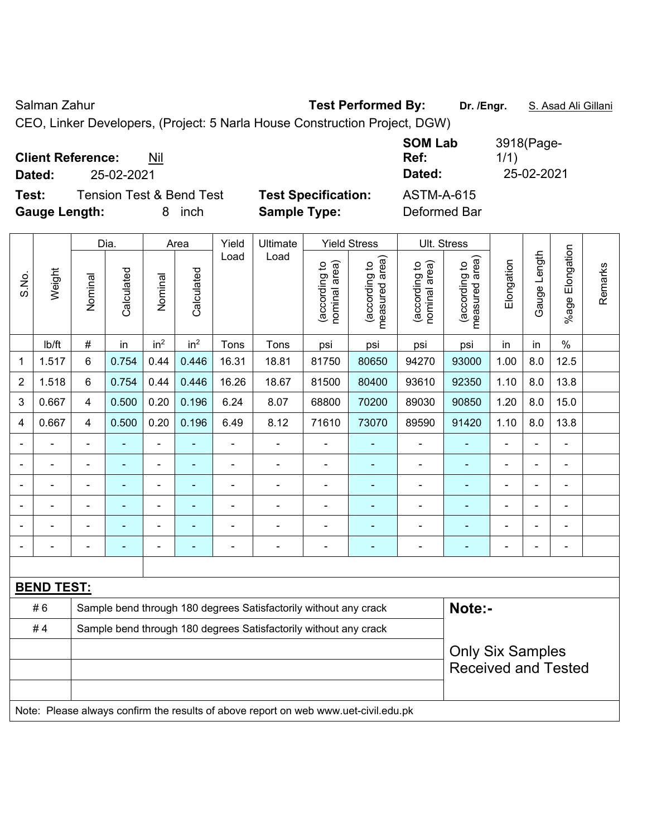Salman Zahur **Test Performed By:** Dr. /Engr. **S. Asad Ali Gillani** Ali Collani

CEO, Linker Developers, (Project: 5 Narla House Construction Project, DGW)

| <b>Client Reference:</b><br>Nil<br>25-02-2021<br>Dated:                      |                                                   | <b>SOM Lab</b><br>Ref:<br>Dated:  | 3918(Page-<br>1/1)<br>25-02-2021 |
|------------------------------------------------------------------------------|---------------------------------------------------|-----------------------------------|----------------------------------|
| <b>Tension Test &amp; Bend Test</b><br>Test:<br><b>Gauge Length:</b><br>inch | <b>Test Specification:</b><br><b>Sample Type:</b> | <b>ASTM-A-615</b><br>Deformed Bar |                                  |

|                |                   |                                                                  | Dia.           |                              | Area            | Yield          | Ultimate                                                                            |                                | <b>Yield Stress</b>             |                                | Ult. Stress                     |                |                |                       |         |
|----------------|-------------------|------------------------------------------------------------------|----------------|------------------------------|-----------------|----------------|-------------------------------------------------------------------------------------|--------------------------------|---------------------------------|--------------------------------|---------------------------------|----------------|----------------|-----------------------|---------|
| S.No.          | Weight            | Nominal                                                          | Calculated     | Nominal                      | Calculated      | Load           | Load                                                                                | nominal area)<br>(according to | (according to<br>measured area) | nominal area)<br>(according to | (according to<br>measured area) | Elongation     | Gauge Length   | Elongation<br>$%$ age | Remarks |
|                | Ib/ft             | $\#$                                                             | in             | in <sup>2</sup>              | in <sup>2</sup> | Tons           | Tons                                                                                | psi                            | psi                             | psi                            | psi                             | in             | in             | $\%$                  |         |
| 1              | 1.517             | 6                                                                | 0.754          | 0.44                         | 0.446           | 16.31          | 18.81                                                                               | 81750                          | 80650                           | 94270                          | 93000                           | 1.00           | 8.0            | 12.5                  |         |
| $\overline{2}$ | 1.518             | 6                                                                | 0.754          | 0.44                         | 0.446           | 16.26          | 18.67                                                                               | 81500                          | 80400                           | 93610                          | 92350                           | 1.10           | 8.0            | 13.8                  |         |
| 3              | 0.667             | $\overline{\mathbf{4}}$                                          | 0.500          | 0.20                         | 0.196           | 6.24           | 8.07                                                                                | 68800                          | 70200                           | 89030                          | 90850                           | 1.20           | 8.0            | 15.0                  |         |
| $\overline{4}$ | 0.667             | $\overline{4}$                                                   | 0.500          | 0.20                         | 0.196           | 6.49           | 8.12                                                                                | 71610                          | 73070                           | 89590                          | 91420                           | 1.10           | 8.0            | 13.8                  |         |
|                | ۰                 | $\blacksquare$                                                   | ä,             | $\blacksquare$               | ۰               | ÷,             | $\blacksquare$                                                                      | $\blacksquare$                 | ÷                               | ÷                              | $\blacksquare$                  | $\blacksquare$ | $\blacksquare$ | L,                    |         |
|                |                   |                                                                  |                | -                            |                 |                | ÷,                                                                                  | $\overline{a}$                 | ۰                               | $\overline{a}$                 |                                 |                |                | $\blacksquare$        |         |
|                |                   |                                                                  | $\blacksquare$ | -                            |                 | $\blacksquare$ | $\blacksquare$                                                                      | -                              | ٠                               | $\overline{\phantom{a}}$       | $\blacksquare$                  | ٠              |                | $\overline{a}$        |         |
|                | $\blacksquare$    |                                                                  | $\blacksquare$ |                              |                 |                | $\blacksquare$                                                                      | $\blacksquare$                 | ۰                               | $\overline{a}$                 | $\blacksquare$                  | $\blacksquare$ | $\blacksquare$ | $\blacksquare$        |         |
|                |                   |                                                                  | $\blacksquare$ | $\overline{\phantom{a}}$     |                 |                | Ē,                                                                                  | $\blacksquare$                 | ۰                               | $\blacksquare$                 |                                 | Ē,             | $\blacksquare$ |                       |         |
| $\blacksquare$ |                   | $\blacksquare$                                                   | ÷              | $\qquad \qquad \blacksquare$ | ۰               | $\blacksquare$ | $\blacksquare$                                                                      | ÷,                             | ٠                               | $\blacksquare$                 | ÷,                              | $\blacksquare$ | $\overline{a}$ | $\blacksquare$        |         |
|                |                   |                                                                  |                |                              |                 |                |                                                                                     |                                |                                 |                                |                                 |                |                |                       |         |
|                | <b>BEND TEST:</b> |                                                                  |                |                              |                 |                |                                                                                     |                                |                                 |                                |                                 |                |                |                       |         |
|                | #6                |                                                                  |                |                              |                 |                | Sample bend through 180 degrees Satisfactorily without any crack                    |                                |                                 |                                | Note:-                          |                |                |                       |         |
|                | #4                | Sample bend through 180 degrees Satisfactorily without any crack |                |                              |                 |                |                                                                                     |                                |                                 |                                |                                 |                |                |                       |         |
|                |                   |                                                                  |                |                              |                 |                |                                                                                     |                                |                                 |                                | <b>Only Six Samples</b>         |                |                |                       |         |
|                |                   |                                                                  |                |                              |                 |                |                                                                                     |                                |                                 |                                | <b>Received and Tested</b>      |                |                |                       |         |
|                |                   |                                                                  |                |                              |                 |                |                                                                                     |                                |                                 |                                |                                 |                |                |                       |         |
|                |                   |                                                                  |                |                              |                 |                | Note: Please always confirm the results of above report on web www.uet-civil.edu.pk |                                |                                 |                                |                                 |                |                |                       |         |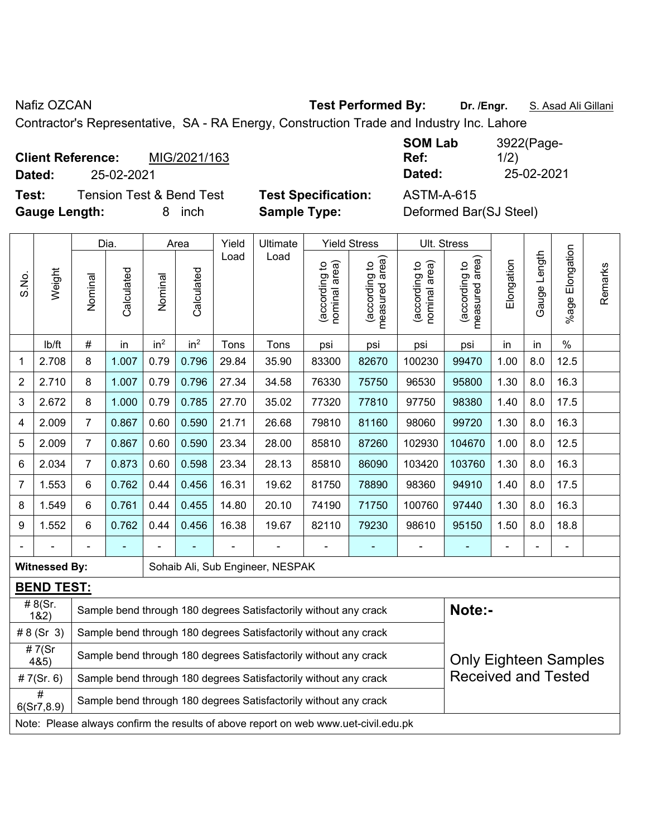Nafiz OZCAN **Test Performed By:** Dr. /Engr. **S. Asad Ali Gillani** Assembly Dr. /Engr. **S. Asad Ali Gillani** 

Contractor's Representative, SA - RA Energy, Construction Trade and Industry Inc. Lahore

**Client Reference:** MIG/2021/163 **Dated:** 25-02-2021 **Dated:** 25-02-2021

**Test:** Tension Test & Bend Test **Test Specification:** ASTM-A-615 **Gauge Length:** 8 inch **Sample Type:** Deformed Bar(SJ Steel)

**SOM Lab Ref:**  3922(Page-1/2)

|                |                                                                                      |                                                                                                  | Dia.       |                 | Area            | Yield | Ultimate                                                         |                                | <b>Yield Stress</b>             | Ult. Stress                    |                                 |            |              |                       |         |
|----------------|--------------------------------------------------------------------------------------|--------------------------------------------------------------------------------------------------|------------|-----------------|-----------------|-------|------------------------------------------------------------------|--------------------------------|---------------------------------|--------------------------------|---------------------------------|------------|--------------|-----------------------|---------|
| S.No.          | Weight                                                                               | Nominal                                                                                          | Calculated | Nominal         | Calculated      | Load  | Load                                                             | nominal area)<br>(according to | (according to<br>measured area) | nominal area)<br>(according to | (according to<br>measured area) | Elongation | Gauge Length | Elongation<br>$%$ age | Remarks |
|                | lb/ft                                                                                | #                                                                                                | in         | in <sup>2</sup> | in <sup>2</sup> | Tons  | Tons                                                             | psi                            | psi                             | psi                            | psi                             | in         | in           | $\%$                  |         |
| 1              | 2.708                                                                                | 8                                                                                                | 1.007      | 0.79            | 0.796           | 29.84 | 35.90                                                            | 83300                          | 82670                           | 100230                         | 99470                           | 1.00       | 8.0          | 12.5                  |         |
| $\overline{2}$ | 2.710                                                                                | 8                                                                                                | 1.007      | 0.79            | 0.796           | 27.34 | 34.58                                                            | 76330                          | 75750                           | 96530                          | 95800                           | 1.30       | 8.0          | 16.3                  |         |
| 3              | 2.672                                                                                | 8                                                                                                | 1.000      | 0.79            | 0.785           | 27.70 | 35.02                                                            | 77320                          | 77810                           | 97750                          | 98380                           | 1.40       | 8.0          | 17.5                  |         |
| 4              | 2.009                                                                                | $\overline{7}$                                                                                   | 0.867      | 0.60            | 0.590           | 21.71 | 26.68                                                            | 79810                          | 81160                           | 98060                          | 99720                           | 1.30       | 8.0          | 16.3                  |         |
| 5              | 2.009                                                                                | $\overline{7}$                                                                                   | 0.867      | 0.60            | 0.590           | 23.34 | 28.00                                                            | 85810                          | 87260                           | 102930                         | 104670                          | 1.00       | 8.0          | 12.5                  |         |
| 6              | 2.034                                                                                | $\overline{7}$                                                                                   | 0.873      | 0.60            | 0.598           | 23.34 | 28.13                                                            | 85810                          | 86090                           | 103420                         | 103760                          | 1.30       | 8.0          | 16.3                  |         |
| 7              | 1.553                                                                                | 6                                                                                                | 0.762      | 0.44            | 0.456           | 16.31 | 19.62                                                            | 81750                          | 78890                           | 98360                          | 94910                           | 1.40       | 8.0          | 17.5                  |         |
| 8              | 1.549                                                                                | 6                                                                                                | 0.761      | 0.44            | 0.455           | 14.80 | 20.10                                                            | 74190                          | 71750                           | 100760                         | 97440                           | 1.30       | 8.0          | 16.3                  |         |
| 9              | 1.552                                                                                | 6                                                                                                | 0.762      | 0.44            | 0.456           | 16.38 | 19.67                                                            | 82110                          | 79230                           | 98610                          | 95150                           | 1.50       | 8.0          | 18.8                  |         |
|                |                                                                                      |                                                                                                  |            |                 |                 |       |                                                                  |                                |                                 | $\blacksquare$                 | $\blacksquare$                  | ÷          |              | $\blacksquare$        |         |
|                | <b>Witnessed By:</b>                                                                 |                                                                                                  |            |                 |                 |       | Sohaib Ali, Sub Engineer, NESPAK                                 |                                |                                 |                                |                                 |            |              |                       |         |
|                | <b>BEND TEST:</b>                                                                    |                                                                                                  |            |                 |                 |       |                                                                  |                                |                                 |                                |                                 |            |              |                       |         |
|                | #8(Sr.<br>182)                                                                       |                                                                                                  |            |                 |                 |       | Sample bend through 180 degrees Satisfactorily without any crack |                                |                                 |                                | Note:-                          |            |              |                       |         |
|                | # $8(Sr 3)$                                                                          |                                                                                                  |            |                 |                 |       | Sample bend through 180 degrees Satisfactorily without any crack |                                |                                 |                                |                                 |            |              |                       |         |
|                | #7(Sr<br>4&5)                                                                        | Sample bend through 180 degrees Satisfactorily without any crack<br><b>Only Eighteen Samples</b> |            |                 |                 |       |                                                                  |                                |                                 |                                |                                 |            |              |                       |         |
|                | # $7(Sr. 6)$                                                                         |                                                                                                  |            |                 |                 |       | Sample bend through 180 degrees Satisfactorily without any crack |                                |                                 |                                | <b>Received and Tested</b>      |            |              |                       |         |
|                | #<br>Sample bend through 180 degrees Satisfactorily without any crack<br>6(Sr7, 8.9) |                                                                                                  |            |                 |                 |       |                                                                  |                                |                                 |                                |                                 |            |              |                       |         |
|                | Note: Please always confirm the results of above report on web www.uet-civil.edu.pk  |                                                                                                  |            |                 |                 |       |                                                                  |                                |                                 |                                |                                 |            |              |                       |         |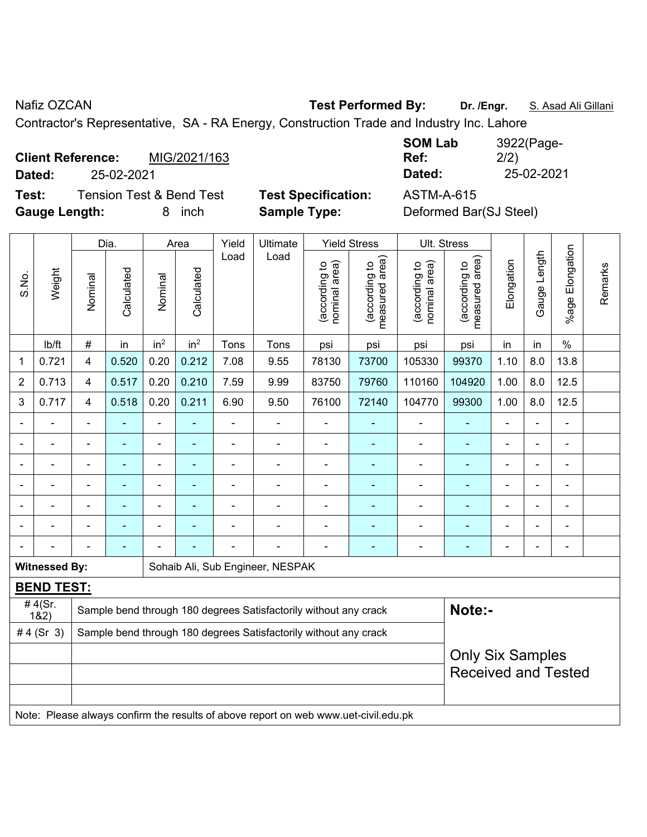Nafiz OZCAN **Test Performed By:** Dr. /Engr. **S. Asad Ali Gillani** Assembly Dr. /Engr. **S. Asad Ali Gillani** 

Contractor's Representative, SA - RA Energy, Construction Trade and Industry Inc. Lahore

**Client Reference:** MIG/2021/163 **Dated:** 25-02-2021 **Dated:** 25-02-2021

**Test:** Tension Test & Bend Test **Test Specification:** ASTM-A-615 **Gauge Length:** 8 inch **Sample Type:** Deformed Bar(SJ Steel)

| 3922(Page-<br>2/2) |
|--------------------|
| 25-02-2021         |
|                    |

|       |                      |                                                                  | Dia.       |                 | Area                     | Yield<br>Ultimate |                                                                                     | <b>Yield Stress</b>            |                                    | Ult. Stress                    |                                 |                |                |                       |         |
|-------|----------------------|------------------------------------------------------------------|------------|-----------------|--------------------------|-------------------|-------------------------------------------------------------------------------------|--------------------------------|------------------------------------|--------------------------------|---------------------------------|----------------|----------------|-----------------------|---------|
| S.No. | Weight               | Nominal                                                          | Calculated | Nominal         | Calculated               | Load              | Load                                                                                | nominal area)<br>(according to | area)<br>(according to<br>measured | nominal area)<br>(according to | measured area)<br>(according to | Elongation     | Gauge Length   | Elongation<br>$%$ age | Remarks |
|       | lb/ft                | #                                                                | in         | in <sup>2</sup> | in <sup>2</sup>          | Tons              | Tons                                                                                | psi                            | psi                                | psi                            | psi                             | in             | in             | $\%$                  |         |
| 1     | 0.721                | 4                                                                | 0.520      | 0.20            | 0.212                    | 7.08              | 9.55                                                                                | 78130                          | 73700                              | 105330                         | 99370                           | 1.10           | 8.0            | 13.8                  |         |
| 2     | 0.713                | 4                                                                | 0.517      | 0.20            | 0.210                    | 7.59              | 9.99                                                                                | 83750                          | 79760                              | 110160                         | 104920                          | 1.00           | 8.0            | 12.5                  |         |
| 3     | 0.717                | 4                                                                | 0.518      | 0.20            | 0.211                    | 6.90              | 9.50                                                                                | 76100                          | 72140                              | 104770                         | 99300                           | 1.00           | 8.0            | 12.5                  |         |
|       | ÷                    | $\blacksquare$                                                   | ÷          | $\blacksquare$  | $\blacksquare$           | $\blacksquare$    | ÷,                                                                                  | $\blacksquare$                 |                                    | $\blacksquare$                 | $\blacksquare$                  | $\blacksquare$ | $\blacksquare$ | $\blacksquare$        |         |
|       | $\blacksquare$       |                                                                  | L,         | $\blacksquare$  |                          | ä,                | $\blacksquare$                                                                      | $\blacksquare$                 | ä,                                 | ä,                             | $\blacksquare$                  | $\blacksquare$ | $\blacksquare$ | $\blacksquare$        |         |
|       |                      | $\blacksquare$                                                   | ä,         | $\blacksquare$  | $\overline{\phantom{0}}$ | $\blacksquare$    | ÷,                                                                                  | $\blacksquare$                 | $\blacksquare$                     | ä,                             | $\blacksquare$                  | $\blacksquare$ |                | $\blacksquare$        |         |
|       |                      |                                                                  |            | L,              |                          |                   |                                                                                     |                                |                                    |                                |                                 |                |                |                       |         |
|       |                      |                                                                  |            |                 |                          |                   |                                                                                     |                                |                                    |                                |                                 |                |                |                       |         |
|       |                      |                                                                  |            |                 |                          |                   |                                                                                     |                                |                                    |                                |                                 |                |                |                       |         |
|       |                      |                                                                  | ÷          |                 |                          |                   | $\blacksquare$                                                                      | $\blacksquare$                 |                                    | $\blacksquare$                 | ÷                               |                |                | $\blacksquare$        |         |
|       | <b>Witnessed By:</b> |                                                                  |            |                 |                          |                   | Sohaib Ali, Sub Engineer, NESPAK                                                    |                                |                                    |                                |                                 |                |                |                       |         |
|       | <b>BEND TEST:</b>    |                                                                  |            |                 |                          |                   |                                                                                     |                                |                                    |                                |                                 |                |                |                       |         |
|       | #4(Sr.<br>182)       |                                                                  |            |                 |                          |                   | Sample bend through 180 degrees Satisfactorily without any crack                    |                                |                                    |                                | Note:-                          |                |                |                       |         |
|       | #4 $(Sr 3)$          | Sample bend through 180 degrees Satisfactorily without any crack |            |                 |                          |                   |                                                                                     |                                |                                    |                                |                                 |                |                |                       |         |
|       |                      |                                                                  |            |                 |                          |                   |                                                                                     |                                |                                    |                                | <b>Only Six Samples</b>         |                |                |                       |         |
|       |                      |                                                                  |            |                 |                          |                   |                                                                                     |                                |                                    |                                | <b>Received and Tested</b>      |                |                |                       |         |
|       |                      |                                                                  |            |                 |                          |                   |                                                                                     |                                |                                    |                                |                                 |                |                |                       |         |
|       |                      |                                                                  |            |                 |                          |                   | Note: Please always confirm the results of above report on web www.uet-civil.edu.pk |                                |                                    |                                |                                 |                |                |                       |         |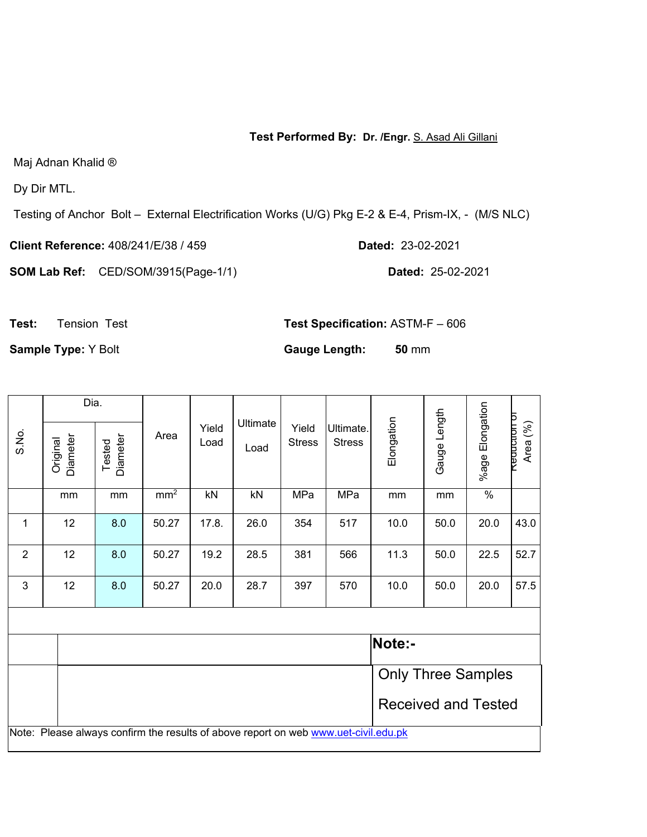#### **Test Performed By: Dr. /Engr.** S. Asad Ali Gillani

Maj Adnan Khalid ®

Dy Dir MTL.

Testing of Anchor Bolt – External Electrification Works (U/G) Pkg E-2 & E-4, Prism-IX, - (M/S NLC)

**Client Reference:** 408/241/E/38 / 459 **Dated:** 23-02-2021

**SOM Lab Ref:** CED/SOM/3915(Page-1/1) **Dated:** 25-02-2021

**Test:** Tension Test **Test Specification:** ASTM-F – 606

**Sample Type:**  $Y$  Bolt **Gauge Length: 50** mm

Dia. %age Elongation %age Elongation Gauge Length Gauge Length **Reduction of** Elongation **Requation of** Elongation Ultimate Area (%) Area Yield Yield Ultimate. S.No. **Diameter Diameter** Original<br>Diameter Diameter Tested Load **Stress** Stress Load | mm | mm | mm<sup>2</sup> | kN | kN | MPa | MPa | mm | mm | % 1 | 12 | 8.0 | 50.27 | 17.8. | 26.0 | 354 | 517 | 10.0 | 50.0 | 20.0 |43.0 2 | 12 | 8.0 | 50.27 | 19.2 | 28.5 | 381 | 566 | 11.3 | 50.0 | 22.5 |52.7 3 12 8.0 50.27 20.0 28.7 397 570 10.0 50.0 20.0 57.5 **Note:-**  Only Three Samples Received and Tested Note: Please always confirm the results of above report on web www.uet-civil.edu.pk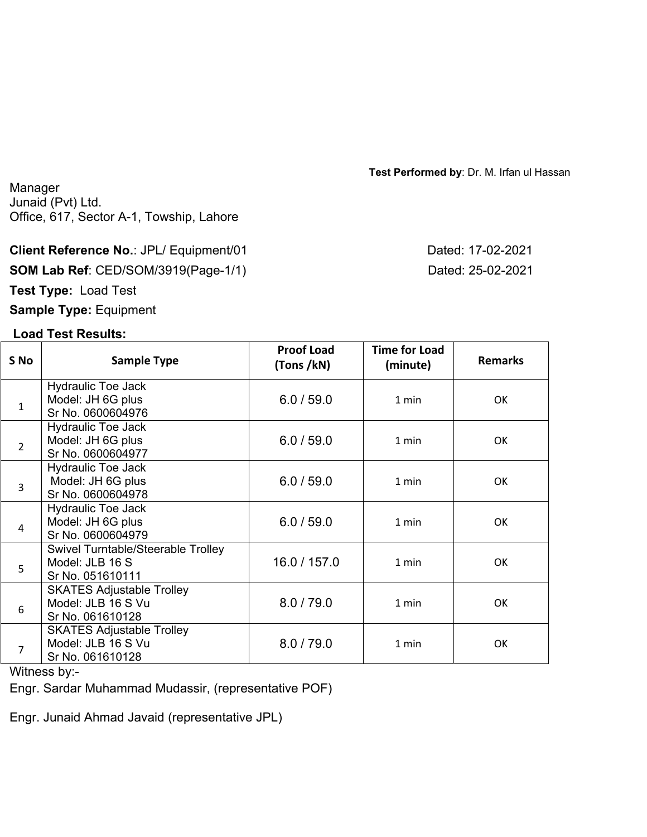**Test Performed by**: Dr. M. Irfan ul Hassan

Manager Junaid (Pvt) Ltd. Office, 617, Sector A-1, Towship, Lahore

#### **Client Reference No.: JPL/ Equipment/01 Dated: 17-02-2021**

**SOM Lab Ref**: CED/SOM/3919(Page-1/1) Dated: 25-02-2021

**Test Type:** Load Test

**Sample Type:** Equipment

## **Load Test Results:**

**S No Sample Type Proof Load (Tons /kN) Time for Load (minute) Remarks** 1 Hydraulic Toe Jack Model: JH 6G plus Sr No. 0600604976 6.0/59.0 | 1 min | OK 2 Hydraulic Toe Jack Model: JH 6G plus Sr No. 0600604977 6.0/59.0 | 1 min | OK 3 Hydraulic Toe Jack Model: JH 6G plus Sr No. 0600604978 6.0/59.0 | 1 min | OK 4 Hydraulic Toe Jack Model: JH 6G plus Sr No. 0600604979 6.0/59.0 | 1 min | OK 5 Swivel Turntable/Steerable Trolley Model: JLB 16 S Sr No. 051610111 16.0 / 157.0 | 1 min | OK 6 SKATES Adjustable Trolley Model: JLB 16 S Vu Sr No. 061610128 8.0/79.0 | 1 min | OK 7 SKATES Adjustable Trolley Model: JLB 16 S Vu Sr No. 061610128 8.0/79.0 | 1 min | OK

Witness by:-

Engr. Sardar Muhammad Mudassir, (representative POF)

Engr. Junaid Ahmad Javaid (representative JPL)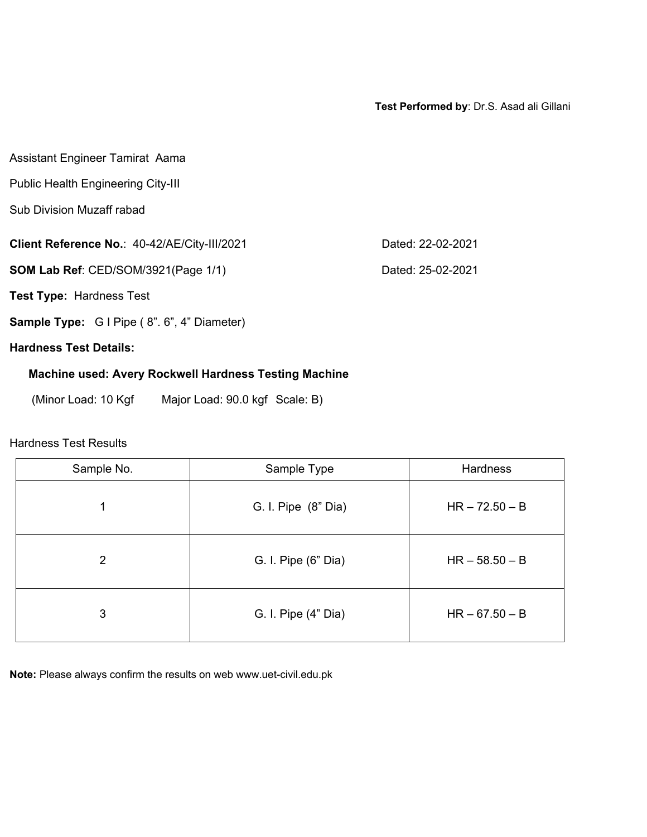**Test Performed by**: Dr.S. Asad ali Gillani

| Assistant Engineer Tamirat Aama                              |                   |  |  |  |  |  |  |  |  |
|--------------------------------------------------------------|-------------------|--|--|--|--|--|--|--|--|
| Public Health Engineering City-III                           |                   |  |  |  |  |  |  |  |  |
| <b>Sub Division Muzaff rabad</b>                             |                   |  |  |  |  |  |  |  |  |
| Client Reference No.: 40-42/AE/City-III/2021                 | Dated: 22-02-2021 |  |  |  |  |  |  |  |  |
| SOM Lab Ref: CED/SOM/3921(Page 1/1)                          | Dated: 25-02-2021 |  |  |  |  |  |  |  |  |
| <b>Test Type: Hardness Test</b>                              |                   |  |  |  |  |  |  |  |  |
| <b>Sample Type:</b> G I Pipe (8". 6", 4" Diameter)           |                   |  |  |  |  |  |  |  |  |
| <b>Hardness Test Details:</b>                                |                   |  |  |  |  |  |  |  |  |
| <b>Machine used: Avery Rockwell Hardness Testing Machine</b> |                   |  |  |  |  |  |  |  |  |
| (Minor Load: 10 Kgf<br>Major Load: 90.0 kgf Scale: B)        |                   |  |  |  |  |  |  |  |  |

# Hardness Test Results

| Sample No. | Sample Type         | Hardness         |
|------------|---------------------|------------------|
| 1          | G. I. Pipe (8" Dia) | $HR - 72.50 - B$ |
| 2          | G. I. Pipe (6" Dia) | $HR - 58.50 - B$ |
| 3          | G. I. Pipe (4" Dia) | $HR - 67.50 - B$ |

**Note:** Please always confirm the results on web www.uet-civil.edu.pk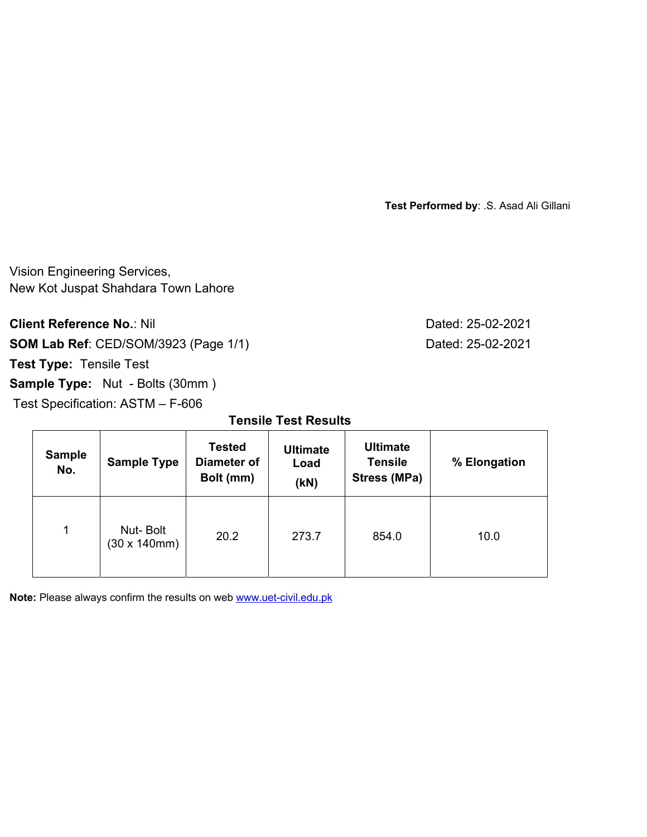**Test Performed by**: .S. Asad Ali Gillani

Vision Engineering Services, New Kot Juspat Shahdara Town Lahore

**Client Reference No.: Nil Client Reference No.: Nil** 25-02-2021

**SOM Lab Ref**: CED/SOM/3923 (Page 1/1) Dated: 25-02-2021

**Test Type:** Tensile Test

**Sample Type:** Nut - Bolts (30mm )

Test Specification: ASTM – F-606

**Tensile Test Results** 

| <b>Sample</b><br>No. | <b>Sample Type</b>       | <b>Tested</b><br><b>Diameter of</b><br>Bolt (mm) | <b>Ultimate</b><br>Load<br>(KN) | <b>Ultimate</b><br><b>Tensile</b><br>Stress (MPa) | % Elongation |  |
|----------------------|--------------------------|--------------------------------------------------|---------------------------------|---------------------------------------------------|--------------|--|
| 1                    | Nut-Bolt<br>(30 x 140mm) | 20.2                                             | 273.7                           | 854.0                                             | 10.0         |  |

**Note:** Please always confirm the results on web **www.uet-civil.edu.pk**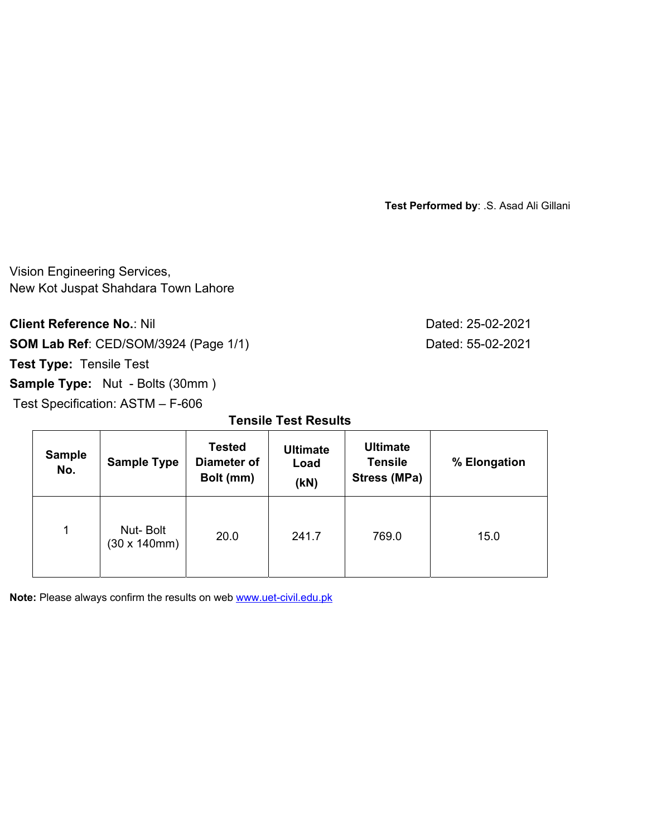**Test Performed by**: .S. Asad Ali Gillani

Vision Engineering Services, New Kot Juspat Shahdara Town Lahore

**Client Reference No.: Nil Client Reference No.: Nil** 25-02-2021

**SOM Lab Ref**: CED/SOM/3924 (Page 1/1) Dated: 55-02-2021

**Test Type:** Tensile Test

**Sample Type:** Nut - Bolts (30mm )

Test Specification: ASTM – F-606

**Tensile Test Results** 

| <b>Sample</b><br>No. | <b>Sample Type</b>       | <b>Tested</b><br>Diameter of<br>Bolt (mm) | <b>Ultimate</b><br>Load<br>(KN) | <b>Ultimate</b><br><b>Tensile</b><br>Stress (MPa) | % Elongation |  |
|----------------------|--------------------------|-------------------------------------------|---------------------------------|---------------------------------------------------|--------------|--|
| $\mathbf{1}$         | Nut-Bolt<br>(30 x 140mm) | 20.0                                      | 241.7                           | 769.0                                             | 15.0         |  |

**Note:** Please always confirm the results on web **www.uet-civil.edu.pk**